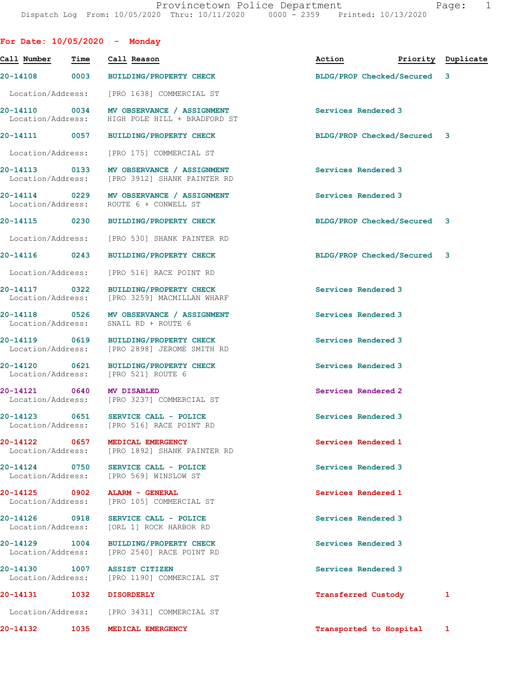| For Date: $10/05/2020 -$ Monday    |             |                                                                                            |                             |                    |              |
|------------------------------------|-------------|--------------------------------------------------------------------------------------------|-----------------------------|--------------------|--------------|
| Call Number                        | Time        | Call Reason                                                                                | Action                      | Priority Duplicate |              |
| 20-14108                           |             | 0003 BUILDING/PROPERTY CHECK                                                               | BLDG/PROP Checked/Secured   |                    | 3            |
| Location/Address:                  |             | [PRO 1638] COMMERCIAL ST                                                                   |                             |                    |              |
|                                    |             | 20-14110 0034 MV OBSERVANCE / ASSIGNMENT<br>Location/Address: HIGH POLE HILL + BRADFORD ST | Services Rendered 3         |                    |              |
|                                    |             | 20-14111 0057 BUILDING/PROPERTY CHECK                                                      | BLDG/PROP Checked/Secured 3 |                    |              |
| Location/Address:                  |             | [PRO 175] COMMERCIAL ST                                                                    |                             |                    |              |
| 20-14113 0133<br>Location/Address: |             | MV OBSERVANCE / ASSIGNMENT<br>[PRO 3912] SHANK PAINTER RD                                  | Services Rendered 3         |                    |              |
| Location/Address:                  |             | 20-14114 0229 MV OBSERVANCE / ASSIGNMENT<br>ROUTE 6 + CONWELL ST                           | Services Rendered 3         |                    |              |
|                                    |             | 20-14115 0230 BUILDING/PROPERTY CHECK                                                      | BLDG/PROP Checked/Secured 3 |                    |              |
|                                    |             | Location/Address: [PRO 530] SHANK PAINTER RD                                               |                             |                    |              |
| 20-14116                           | 0243        | BUILDING/PROPERTY CHECK                                                                    | BLDG/PROP Checked/Secured 3 |                    |              |
| Location/Address:                  |             | [PRO 516] RACE POINT RD                                                                    |                             |                    |              |
| 20-14117 0322<br>Location/Address: |             | <b>BUILDING/PROPERTY CHECK</b><br>[PRO 3259] MACMILLAN WHARF                               | Services Rendered 3         |                    |              |
| Location/Address:                  |             | 20-14118 0526 MV OBSERVANCE / ASSIGNMENT<br>SNAIL RD + ROUTE 6                             | Services Rendered 3         |                    |              |
| 20-14119 0619                      |             | BUILDING/PROPERTY CHECK<br>Location/Address: [PRO 2898] JEROME SMITH RD                    | Services Rendered 3         |                    |              |
| 20-14120                           | 0621        | <b>BUILDING/PROPERTY CHECK</b><br>Location/Address: [PRO 521] ROUTE 6                      | Services Rendered 3         |                    |              |
| 20-14121 0640                      |             | <b>MV DISABLED</b><br>Location/Address: [PRO 3237] COMMERCIAL ST                           | Services Rendered 2         |                    |              |
| 20-14123                           | 0651        | SERVICE CALL - POLICE<br>Location/Address: [PRO 516] RACE POINT RD                         | Services Rendered 3         |                    |              |
| 20-14122<br>Location/Address:      | 0657        | MEDICAL EMERGENCY<br>[PRO 1892] SHANK PAINTER RD                                           | Services Rendered 1         |                    |              |
| 20-14124<br>Location/Address:      | 0750        | SERVICE CALL - POLICE<br>[PRO 569] WINSLOW ST                                              | Services Rendered 3         |                    |              |
| 20-14125<br>Location/Address:      | $\sim$ 0902 | ALARM - GENERAL<br>[PRO 105] COMMERCIAL ST                                                 | Services Rendered 1         |                    |              |
| 20-14126<br>Location/Address:      | 0918        | SERVICE CALL - POLICE<br>[ORL 1] ROCK HARBOR RD                                            | Services Rendered 3         |                    |              |
| 20-14129<br>Location/Address:      | 1004        | <b>BUILDING/PROPERTY CHECK</b><br>[PRO 2540] RACE POINT RD                                 | Services Rendered 3         |                    |              |
| 20-14130<br>Location/Address:      | 1007        | <b>ASSIST CITIZEN</b><br>[PRO 1190] COMMERCIAL ST                                          | Services Rendered 3         |                    |              |
| 20-14131                           | 1032        | <b>DISORDERLY</b>                                                                          | <b>Transferred Custody</b>  |                    | 1            |
| Location/Address:                  |             | [PRO 3431] COMMERCIAL ST                                                                   |                             |                    |              |
| 20-14132                           | 1035        | MEDICAL EMERGENCY                                                                          | Transported to Hospital     |                    | $\mathbf{1}$ |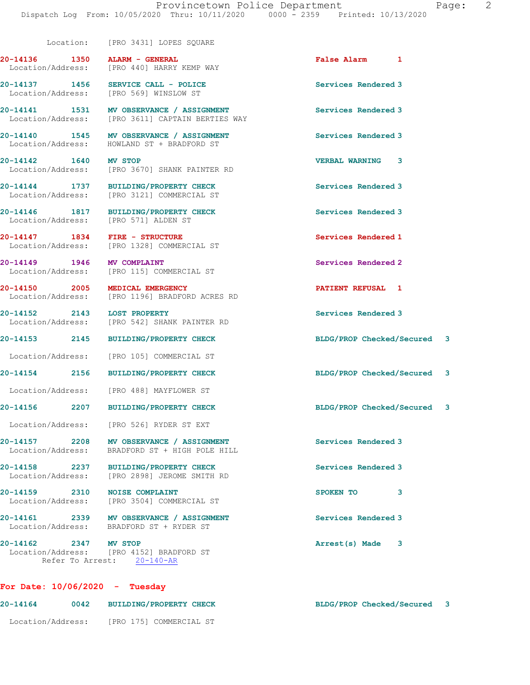Location: [PRO 3431] LOPES SQUARE

| Page: |  |
|-------|--|
|       |  |

| ALARM - GENERAL<br>Location/Address: [PRO 440] HARRY KEMP WAY                                | False Alarm 1               |  |
|----------------------------------------------------------------------------------------------|-----------------------------|--|
| 20-14137 1456<br>SERVICE CALL - POLICE<br>Location/Address: [PRO 569] WINSLOW ST             | Services Rendered 3         |  |
| 20-14141 1531 MV OBSERVANCE / ASSIGNMENT<br>Location/Address: [PRO 3611] CAPTAIN BERTIES WAY | Services Rendered 3         |  |
| 20-14140 1545<br>MV OBSERVANCE / ASSIGNMENT<br>HOWLAND ST + BRADFORD ST                      | Services Rendered 3         |  |
| <b>MV STOP</b><br>[PRO 3670] SHANK PAINTER RD                                                | <b>VERBAL WARNING 3</b>     |  |
| 20-14144 1737<br>BUILDING/PROPERTY CHECK<br>[PRO 3121] COMMERCIAL ST                         | Services Rendered 3         |  |
| 20-14146 1817 BUILDING/PROPERTY CHECK<br>Location/Address: [PRO 571] ALDEN ST                | Services Rendered 3         |  |
| 20-14147    1834    FIRE - STRUCTURE<br>Location/Address: [PRO 1328] COMMERCIAL ST           | Services Rendered 1         |  |
| 20-14149 1946<br><b>MV COMPLAINT</b><br>Location/Address: [PRO 115] COMMERCIAL ST            | Services Rendered 2         |  |
| 20-14150 2005<br>MEDICAL EMERGENCY<br>Location/Address: [PRO 1196] BRADFORD ACRES RD         | PATIENT REFUSAL 1           |  |
| 20-14152 2143<br><b>LOST PROPERTY</b><br>Location/Address: [PRO 542] SHANK PAINTER RD        | Services Rendered 3         |  |
| 20-14153 2145 BUILDING/PROPERTY CHECK                                                        | BLDG/PROP Checked/Secured 3 |  |
| [PRO 105] COMMERCIAL ST                                                                      |                             |  |
| <b>BUILDING/PROPERTY CHECK</b>                                                               | BLDG/PROP Checked/Secured 3 |  |
| Location/Address: [PRO 488] MAYFLOWER ST                                                     |                             |  |
| <b>BUILDING/PROPERTY CHECK</b><br>20-14156 2207                                              | BLDG/PROP Checked/Secured 3 |  |
| Location/Address: [PRO 526] RYDER ST EXT                                                     |                             |  |
| 20-14157 2208 MV OBSERVANCE / ASSIGNMENT<br>Location/Address: BRADFORD ST + HIGH POLE HILL   | <b>Services Rendered 3</b>  |  |
| 20-14158 2237 BUILDING/PROPERTY CHECK<br>Location/Address: [PRO 2898] JEROME SMITH RD        | Services Rendered 3         |  |
| 20-14159 2310 NOISE COMPLAINT<br>Location/Address: [PRO 3504] COMMERCIAL ST                  | <b>SPOKEN TO</b><br>3       |  |
| 20-14161 2339 MV OBSERVANCE / ASSIGNMENT<br>Location/Address: BRADFORD ST + RYDER ST         | Services Rendered 3         |  |
| 20-14162 2347 MV STOP<br>Location/Address: [PRO 4152] BRADFORD ST                            | Arrest(s) Made<br>3         |  |
|                                                                                              |                             |  |

## 20-14164 0042 BUILDING/PROPERTY CHECK BLDG/PROP Checked/Secured 3 Location/Address: [PRO 175] COMMERCIAL ST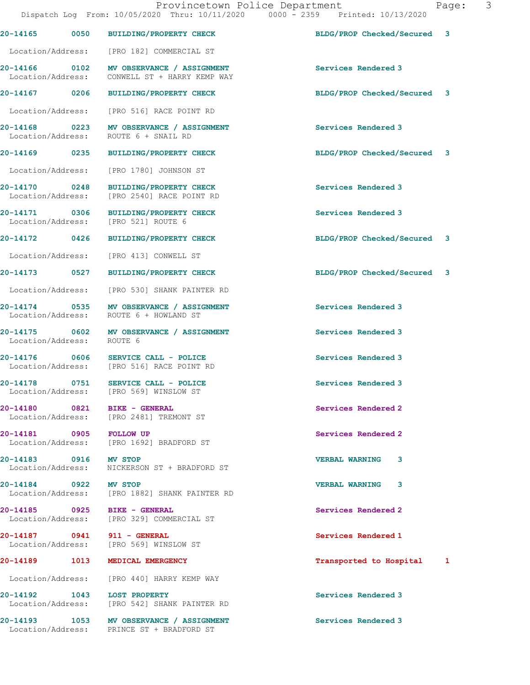Dispatch Log From: 10/05/2020 Thru: 10/11/2020 0000 - 2359 Printed: 10/13/2020 20-14165 0050 BUILDING/PROPERTY CHECK BLDG/PROP Checked/Secured 3 Location/Address: [PRO 182] COMMERCIAL ST 20-14166 0102 MV OBSERVANCE / ASSIGNMENT Services Rendered 3 Location/Address: CONWELL ST + HARRY KEMP WAY 20-14167 0206 BUILDING/PROPERTY CHECK BLDG/PROP Checked/Secured 3 Location/Address: [PRO 516] RACE POINT RD 20-14168 0223 MV OBSERVANCE / ASSIGNMENT Services Rendered 3 Location/Address: ROUTE 6 + SNAIL RD 20-14169 0235 BUILDING/PROPERTY CHECK BLDG/PROP Checked/Secured 3 Location/Address: [PRO 1780] JOHNSON ST 20-14170 0248 BUILDING/PROPERTY CHECK Services Rendered 3 Location/Address: [PRO 2540] RACE POINT RD 20-14171 0306 BUILDING/PROPERTY CHECK Services Rendered 3 Location/Address: [PRO 521] ROUTE 6 20-14172 0426 BUILDING/PROPERTY CHECK BLDG/PROP Checked/Secured 3 Location/Address: [PRO 413] CONWELL ST 20-14173 0527 BUILDING/PROPERTY CHECK BLDG/PROP Checked/Secured 3 Location/Address: [PRO 530] SHANK PAINTER RD 20-14174 0535 MV OBSERVANCE / ASSIGNMENT Services Rendered 3 Location/Address: ROUTE 6 + HOWLAND ST 20-14175 0602 MV OBSERVANCE / ASSIGNMENT Services Rendered 3 Location/Address: 20-14176 0606 SERVICE CALL - POLICE Services Rendered 3 Location/Address: [PRO 516] RACE POINT RD 20-14178 0751 SERVICE CALL - POLICE Services Rendered 3 Location/Address: [PRO 569] WINSLOW ST 20-14180 0821 BIKE - GENERAL Services Rendered 2 Location/Address: [PRO 2481] TREMONT ST 20-14181 0905 FOLLOW UP Services Rendered 2 Location/Address: [PRO 1692] BRADFORD ST 20-14183 0916 MV STOP VERBAL WARNING 3 Location/Address: NICKERSON ST + BRADFORD ST 20-14184 0922 MV STOP VERBAL WARNING 3 [PRO 1882] SHANK PAINTER RD 20-14185 0925 BIKE - GENERAL Services Rendered 2 Location/Address: [PRO 329] COMMERCIAL ST 20-14187 0941 911 - GENERAL Services Rendered 1 Location/Address: [PRO 569] WINSLOW ST 20-14189 1013 MEDICAL EMERGENCY Transported to Hospital 1 Location/Address: [PRO 440] HARRY KEMP WAY 20-14192 1043 LOST PROPERTY Services Rendered 3 Location/Address: [PRO 542] SHANK PAINTER RD 20-14193 1053 MV OBSERVANCE / ASSIGNMENT Services Rendered 3 Location/Address: PRINCE ST + BRADFORD ST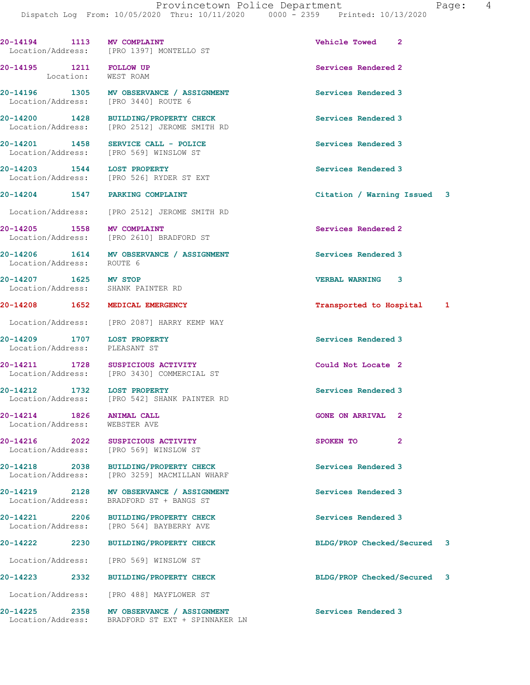| 20-14194 1113 MV COMPLAINT                                   |      | Location/Address: [PRO 1397] MONTELLO ST                                              | Vehicle Towed 2             |                |   |
|--------------------------------------------------------------|------|---------------------------------------------------------------------------------------|-----------------------------|----------------|---|
| 20-14195 1211 FOLLOW UP                                      |      | Location: WEST ROAM                                                                   | Services Rendered 2         |                |   |
|                                                              |      | 20-14196 1305 MV OBSERVANCE / ASSIGNMENT<br>Location/Address: [PRO 3440] ROUTE 6      | Services Rendered 3         |                |   |
|                                                              |      | 20-14200 1428 BUILDING/PROPERTY CHECK<br>Location/Address: [PRO 2512] JEROME SMITH RD | Services Rendered 3         |                |   |
| 20-14201 1458                                                |      | SERVICE CALL - POLICE<br>Location/Address: [PRO 569] WINSLOW ST                       | Services Rendered 3         |                |   |
| 20-14203 1544 LOST PROPERTY                                  |      | Location/Address: [PRO 526] RYDER ST EXT                                              | Services Rendered 3         |                |   |
|                                                              |      | 20-14204 1547 PARKING COMPLAINT                                                       | Citation / Warning Issued 3 |                |   |
|                                                              |      | Location/Address: [PRO 2512] JEROME SMITH RD                                          |                             |                |   |
| 20-14205 1558 MV COMPLAINT                                   |      | Location/Address: [PRO 2610] BRADFORD ST                                              | Services Rendered 2         |                |   |
| Location/Address: ROUTE 6                                    |      | 20-14206 1614 MV OBSERVANCE / ASSIGNMENT                                              | Services Rendered 3         |                |   |
| 20-14207 1625 MV STOP<br>Location/Address: SHANK PAINTER RD  |      |                                                                                       | VERBAL WARNING 3            |                |   |
|                                                              |      | 20-14208 1652 MEDICAL EMERGENCY                                                       | Transported to Hospital 1   |                |   |
|                                                              |      | Location/Address: [PRO 2087] HARRY KEMP WAY                                           |                             |                |   |
| 20-14209 1707 LOST PROPERTY<br>Location/Address: PLEASANT ST |      |                                                                                       | Services Rendered 3         |                |   |
|                                                              |      | 20-14211 1728 SUSPICIOUS ACTIVITY<br>Location/Address: [PRO 3430] COMMERCIAL ST       | Could Not Locate 2          |                |   |
| 20-14212 1732 LOST PROPERTY                                  |      | Location/Address: [PRO 542] SHANK PAINTER RD                                          | Services Rendered 3         |                |   |
| 20-14214<br>1826<br>Location/Address:                        |      | <b>ANIMAL CALL</b><br>WEBSTER AVE                                                     | <b>GONE ON ARRIVAL</b>      | 2              |   |
| 20-14216<br>Location/Address:                                | 2022 | SUSPICIOUS ACTIVITY<br>[PRO 569] WINSLOW ST                                           | SPOKEN TO                   | $\overline{2}$ |   |
| 20-14218 2038                                                |      | <b>BUILDING/PROPERTY CHECK</b><br>Location/Address: [PRO 3259] MACMILLAN WHARF        | Services Rendered 3         |                |   |
| 20-14219 2128<br>Location/Address:                           |      | MV OBSERVANCE / ASSIGNMENT<br>BRADFORD ST + BANGS ST                                  | Services Rendered 3         |                |   |
| 20-14221<br>Location/Address:                                | 2206 | BUILDING/PROPERTY CHECK<br>[PRO 564] BAYBERRY AVE                                     | Services Rendered 3         |                |   |
| 20-14222                                                     | 2230 | <b>BUILDING/PROPERTY CHECK</b>                                                        | BLDG/PROP Checked/Secured   |                | 3 |
| Location/Address:                                            |      | [PRO 569] WINSLOW ST                                                                  |                             |                |   |
| 20-14223                                                     | 2332 | <b>BUILDING/PROPERTY CHECK</b>                                                        | BLDG/PROP Checked/Secured   |                | 3 |
| Location/Address:                                            |      | [PRO 488] MAYFLOWER ST                                                                |                             |                |   |
| 20-14225<br>Location/Address:                                | 2358 | MV OBSERVANCE / ASSIGNMENT<br>BRADFORD ST EXT + SPINNAKER LN                          | Services Rendered 3         |                |   |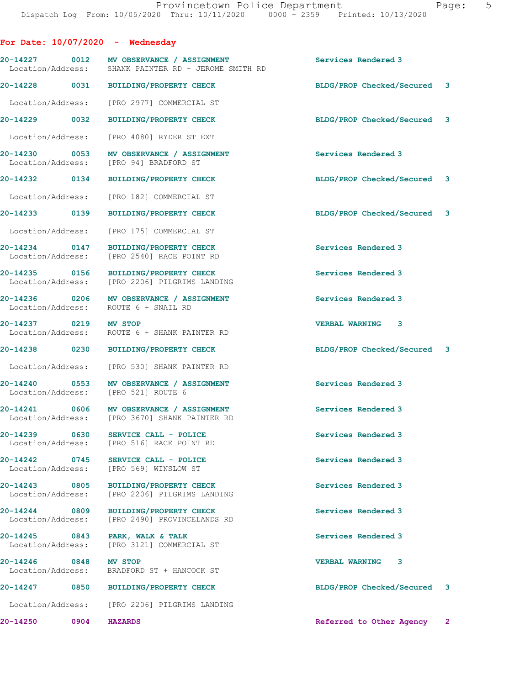For Date: 10/07/2020 - Wednesday 20-14227 0012 MV OBSERVANCE / ASSIGNMENT Services Rendered 3<br>
Location/Address: SHANK PAINTER RD + JEROME SMITH RD SHANK PAINTER RD + JEROME SMITH RD 20-14228 0031 BUILDING/PROPERTY CHECK BLDG/PROP Checked/Secured 3 Location/Address: [PRO 2977] COMMERCIAL ST 20-14229 0032 BUILDING/PROPERTY CHECK BLDG/PROP Checked/Secured 3 Location/Address: [PRO 4080] RYDER ST EXT 20-14230 0053 MV OBSERVANCE / ASSIGNMENT Services Rendered 3<br>
Location/Address: [PRO 94] BRADFORD ST [PRO 94] BRADFORD ST 20-14232 0134 BUILDING/PROPERTY CHECK BLDG/PROP Checked/Secured 3 Location/Address: [PRO 182] COMMERCIAL ST 20-14233 0139 BUILDING/PROPERTY CHECK BLDG/PROP Checked/Secured 3 Location/Address: [PRO 175] COMMERCIAL ST 20-14234 0147 BUILDING/PROPERTY CHECK Services Rendered 3 Location/Address: [PRO 2540] RACE POINT RD 20-14235 0156 BUILDING/PROPERTY CHECK Services Rendered 3 [PRO 2206] PILGRIMS LANDING 20-14236 0206 MV OBSERVANCE / ASSIGNMENT Services Rendered 3 Location/Address: ROUTE 6 + SNAIL RD 20-14237 0219 MV STOP VERBAL WARNING 3 Location/Address: ROUTE 6 + SHANK PAINTER RD 20-14238 0230 BUILDING/PROPERTY CHECK BLDG/PROP Checked/Secured 3 Location/Address: [PRO 530] SHANK PAINTER RD 20-14240 0553 MV OBSERVANCE / ASSIGNMENT Services Rendered 3 Location/Address: [PRO 521] ROUTE 6 20-14241 0606 MV OBSERVANCE / ASSIGNMENT Services Rendered 3<br>
Location/Address: [PRO 3670] SHANK PAINTER RD [PRO 3670] SHANK PAINTER RD 20-14239 0630 SERVICE CALL - POLICE Services Rendered 3 Location/Address: [PRO 516] RACE POINT RD 20-14242 0745 SERVICE CALL - POLICE SERVICE Services Rendered 3<br>
Location/Address: [PRO 569] WINSLOW ST [PRO 569] WINSLOW ST 20-14243 0805 BUILDING/PROPERTY CHECK Services Rendered 3 Location/Address: [PRO 2206] PILGRIMS LANDING 20-14244 0809 BUILDING/PROPERTY CHECK Services Rendered 3<br>
Location/Address: [PRO 2490] PROVINCELANDS RD [PRO 2490] PROVINCELANDS RD 20-14245 0843 PARK, WALK & TALK Services Rendered 3 Location/Address: [PRO 3121] COMMERCIAL ST 20-14246 0848 MV STOP VERBAL WARNING 3 Location/Address: BRADFORD ST + HANCOCK ST 20-14247 0850 BUILDING/PROPERTY CHECK BLDG/PROP Checked/Secured 3 Location/Address: [PRO 2206] PILGRIMS LANDING 20-14250 0904 HAZARDS Referred to Other Agency 2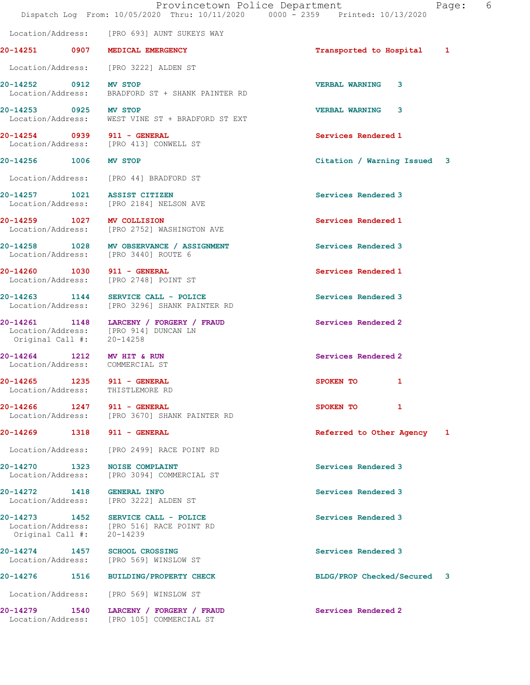|                                            | Provincetown Police Department<br>Dispatch Log From: 10/05/2020 Thru: 10/11/2020 0000 - 2359 Printed: 10/13/2020 | Page:                       | 6 |
|--------------------------------------------|------------------------------------------------------------------------------------------------------------------|-----------------------------|---|
|                                            | Location/Address: [PRO 693] AUNT SUKEYS WAY                                                                      |                             |   |
|                                            | 20-14251 0907 MEDICAL EMERGENCY                                                                                  | Transported to Hospital 1   |   |
|                                            | Location/Address: [PRO 3222] ALDEN ST                                                                            |                             |   |
| 20-14252 0912 MV STOP<br>Location/Address: | BRADFORD ST + SHANK PAINTER RD                                                                                   | <b>VERBAL WARNING</b><br>3  |   |
| 20-14253 0925 MV STOP                      | Location/Address: WEST VINE ST + BRADFORD ST EXT                                                                 | <b>VERBAL WARNING 3</b>     |   |
|                                            | 20-14254 0939 911 - GENERAL<br>Location/Address: [PRO 413] CONWELL ST                                            | Services Rendered 1         |   |
| 20-14256 1006 MV STOP                      |                                                                                                                  | Citation / Warning Issued 3 |   |
|                                            | Location/Address: [PRO 44] BRADFORD ST                                                                           |                             |   |
|                                            | 20-14257 1021 ASSIST CITIZEN<br>Location/Address: [PRO 2184] NELSON AVE                                          | Services Rendered 3         |   |
|                                            | 20-14259 1027 MV COLLISION<br>Location/Address: [PRO 2752] WASHINGTON AVE                                        | Services Rendered 1         |   |
|                                            | 20-14258 1028 MV OBSERVANCE / ASSIGNMENT<br>Location/Address: [PRO 3440] ROUTE 6                                 | Services Rendered 3         |   |
|                                            | 20-14260 1030 911 - GENERAL<br>Location/Address: [PRO 2748] POINT ST                                             | Services Rendered 1         |   |
|                                            | 20-14263 1144 SERVICE CALL - POLICE<br>Location/Address: [PRO 3296] SHANK PAINTER RD                             | Services Rendered 3         |   |
| Original Call #: 20-14258                  | 20-14261 1148 LARCENY / FORGERY / FRAUD<br>Location/Address: [PRO 914] DUNCAN LN                                 | Services Rendered 2         |   |
| 20-14264 1212                              | <b>MV HIT &amp; RUN</b><br>Location/Address: COMMERCIAL ST                                                       | Services Rendered 2         |   |
|                                            | 20-14265 1235 911 - GENERAL<br>Location/Address: THISTLEMORE RD                                                  | 1<br>SPOKEN TO              |   |
|                                            | 20-14266 1247 911 - GENERAL<br>Location/Address: [PRO 3670] SHANK PAINTER RD                                     | SPOKEN TO<br>$\mathbf{1}$   |   |
|                                            | 20-14269 1318 911 - GENERAL                                                                                      | Referred to Other Agency 1  |   |
|                                            | Location/Address: [PRO 2499] RACE POINT RD                                                                       |                             |   |
|                                            | 20-14270 1323 NOISE COMPLAINT<br>Location/Address: [PRO 3094] COMMERCIAL ST                                      | Services Rendered 3         |   |
|                                            | 20-14272 1418 GENERAL INFO<br>Location/Address: [PRO 3222] ALDEN ST                                              | Services Rendered 3         |   |
|                                            | 20-14273 1452 SERVICE CALL - POLICE<br>Location/Address: [PRO 516] RACE POINT RD                                 | Services Rendered 3         |   |

20-14274 1457 SCHOOL CROSSING Services Rendered 3

20-14276 1516 BUILDING/PROPERTY CHECK BLDG/PROP Checked/Secured 3

20-14279 1540 LARCENY / FORGERY / FRAUD Services Rendered 2 Location/Address: [PRO 105] COMMERCIAL ST

Original Call #: 20-14239

Location/Address: [PRO 569] WINSLOW ST

Location/Address: [PRO 569] WINSLOW ST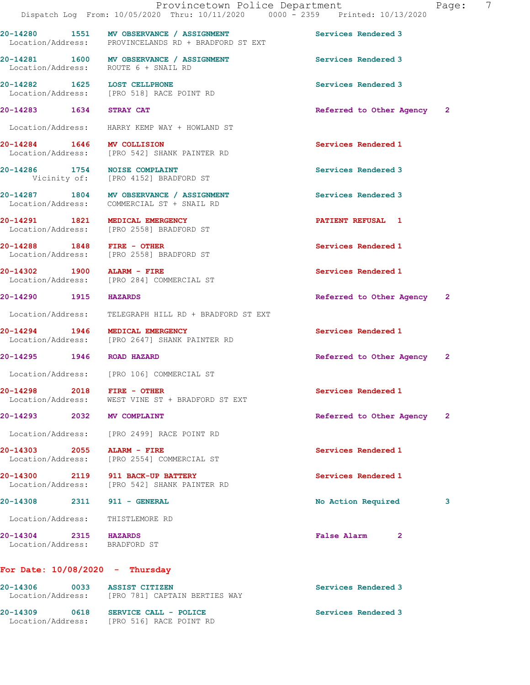20-14280 1551 MV OBSERVANCE / ASSIGNMENT Services Rendered 3 Location/Address: PROVINCELANDS RD + BRADFORD ST EXT

20-14281 1600 MV OBSERVANCE / ASSIGNMENT Services Rendered 3 Location/Address: ROUTE 6 + SNAIL RD

20-14282 1625 LOST CELLPHONE Services Rendered 3 Location/Address: [PRO 518] RACE POINT RD

Location/Address: HARRY KEMP WAY + HOWLAND ST

Location/Address: [PRO 542] SHANK PAINTER RD

20-14286 1754 NOISE COMPLAINT Services Rendered 3 Vicinity of: [PRO 4152] BRADFORD ST

20-14287 1804 MV OBSERVANCE / ASSIGNMENT Services Rendered 3 Location/Address: COMMERCIAL ST + SNAIL RD

20-14291 1821 MEDICAL EMERGENCY **1821 1821 1821 1** Location/Address: [PRO 2558] BRADFORD ST

20-14288 1848 FIRE - OTHER Services Rendered 1 Location/Address: [PRO 2558] BRADFORD ST

Location/Address: THISTLEMORE RD

20-14302 1900 ALARM - FIRE Services Rendered 1 Location/Address: [PRO 284] COMMERCIAL ST

Location/Address: TELEGRAPH HILL RD + BRADFORD ST EXT

20-14294 1946 MEDICAL EMERGENCY Services Rendered 1 Location/Address: [PRO 2647] SHANK PAINTER RD

Location/Address: [PRO 106] COMMERCIAL ST

20-14298 2018 FIRE - OTHER Services Rendered 1 Location/Address: WEST VINE ST + BRADFORD ST EXT

Location/Address: [PRO 2499] RACE POINT RD

20-14303 2055 ALARM - FIRE Services Rendered 1 Location/Address: [PRO 2554] COMMERCIAL ST

20-14300 2119 911 BACK-UP BATTERY Services Rendered 1 Location/Address: [PRO 542] SHANK PAINTER RD

Location/Address: BRADFORD ST

20-14283 1634 STRAY CAT Referred to Other Agency 2

20-14284 1646 MV COLLISION Services Rendered 1

20-14290 1915 HAZARDS Referred to Other Agency 2

20-14295 1946 ROAD HAZARD Referred to Other Agency 2

20-14293 2032 MV COMPLAINT Referred to Other Agency 2

20-14308 2311 911 - GENERAL No Action Required 3

20-14304 2315 HAZARDS False Alarm 2

For Date: 10/08/2020 - Thursday

| 20-14306<br>Location/Address: | 0033 | <b>ASSIST CITIZEN</b><br>[PRO 781] CAPTAIN BERTIES WAY | Services Rendered 3 |
|-------------------------------|------|--------------------------------------------------------|---------------------|
| 20-14309<br>Location/Address: | 0618 | SERVICE CALL - POLICE<br>FPRO 5161 RACE POINT RD       | Services Rendered 3 |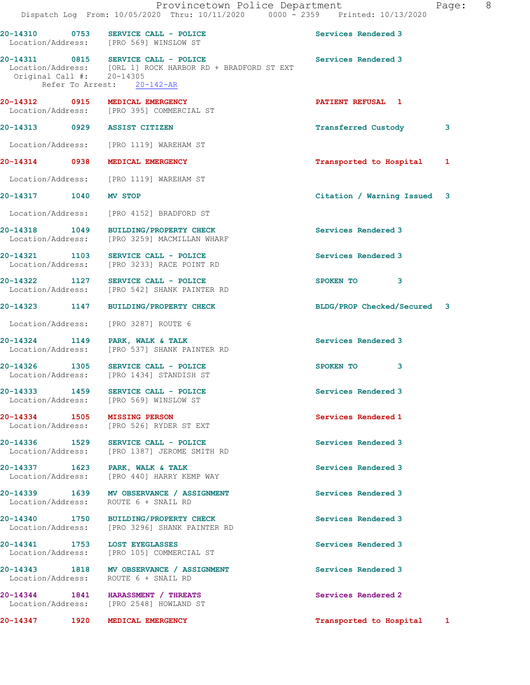|                                   | Provincetown Police Department<br>Dispatch Log From: 10/05/2020 Thru: 10/11/2020 0000 - 2359 Printed: 10/13/2020                |                             | 8 <sup>8</sup><br>Page: |
|-----------------------------------|---------------------------------------------------------------------------------------------------------------------------------|-----------------------------|-------------------------|
|                                   | 20-14310 0753 SERVICE CALL - POLICE<br>Location/Address: [PRO 569] WINSLOW ST                                                   | Services Rendered 3         |                         |
| Original Call $\sharp$ : 20-14305 | 20-14311 0815 SERVICE CALL - POLICE<br>Location/Address: [ORL 1] ROCK HARBOR RD + BRADFORD ST EXT<br>Refer To Arrest: 20-142-AR | Services Rendered 3         |                         |
|                                   | 20-14312 0915 MEDICAL EMERGENCY<br>Location/Address: [PRO 395] COMMERCIAL ST                                                    | PATIENT REFUSAL 1           |                         |
| 20-14313 0929 ASSIST CITIZEN      |                                                                                                                                 | <b>Transferred Custody</b>  | 3                       |
|                                   | Location/Address: [PRO 1119] WAREHAM ST                                                                                         |                             |                         |
|                                   | 20-14314 0938 MEDICAL EMERGENCY                                                                                                 | Transported to Hospital     | 1                       |
|                                   | Location/Address: [PRO 1119] WAREHAM ST                                                                                         |                             |                         |
| 20-14317 1040 MV STOP             |                                                                                                                                 | Citation / Warning Issued 3 |                         |
|                                   | Location/Address: [PRO 4152] BRADFORD ST                                                                                        |                             |                         |
|                                   | 20-14318 1049 BUILDING/PROPERTY CHECK<br>Location/Address: [PRO 3259] MACMILLAN WHARF                                           | Services Rendered 3         |                         |
|                                   | 20-14321 103 SERVICE CALL - POLICE<br>Location/Address: [PRO 3233] RACE POINT RD                                                | Services Rendered 3         |                         |
|                                   | 20-14322 1127 SERVICE CALL - POLICE<br>Location/Address: [PRO 542] SHANK PAINTER RD                                             | SPOKEN TO 3                 |                         |
|                                   | 20-14323 1147 BUILDING/PROPERTY CHECK                                                                                           | BLDG/PROP Checked/Secured 3 |                         |
|                                   | Location/Address: [PRO 3287] ROUTE 6                                                                                            |                             |                         |
|                                   | 20-14324 1149 PARK, WALK & TALK<br>Location/Address: [PRO 537] SHANK PAINTER RD                                                 | Services Rendered 3         |                         |
|                                   | 20-14326 1305 SERVICE CALL - POLICE<br>Location/Address: [PRO 1434] STANDISH ST                                                 | SPOKEN TO<br>3              |                         |
|                                   | 20-14333 1459 SERVICE CALL - POLICE<br>Location/Address: [PRO 569] WINSLOW ST                                                   | Services Rendered 3         |                         |
|                                   | 20-14334 1505 MISSING PERSON<br>Location/Address: [PRO 526] RYDER ST EXT                                                        | Services Rendered 1         |                         |
|                                   | 20-14336 1529 SERVICE CALL - POLICE<br>Location/Address: [PRO 1387] JEROME SMITH RD                                             | Services Rendered 3         |                         |
|                                   | 20-14337 1623 PARK, WALK & TALK<br>Location/Address: [PRO 440] HARRY KEMP WAY                                                   | Services Rendered 3         |                         |
|                                   | 20-14339 1639 MV OBSERVANCE / ASSIGNMENT<br>Location/Address: ROUTE 6 + SNAIL RD                                                | Services Rendered 3         |                         |
|                                   | 20-14340 1750 BUILDING/PROPERTY CHECK<br>Location/Address: [PRO 3296] SHANK PAINTER RD                                          | Services Rendered 3         |                         |
|                                   | 20-14341 1753 LOST EYEGLASSES<br>Location/Address: [PRO 105] COMMERCIAL ST                                                      | Services Rendered 3         |                         |
|                                   | 20-14343 1818 MV OBSERVANCE / ASSIGNMENT<br>Location/Address: ROUTE 6 + SNAIL RD                                                | Services Rendered 3         |                         |
|                                   | 20-14344 1841 HARASSMENT / THREATS<br>Location/Address: [PRO 2548] HOWLAND ST                                                   | Services Rendered 2         |                         |
|                                   | 20-14347 1920 MEDICAL EMERGENCY                                                                                                 | Transported to Hospital 1   |                         |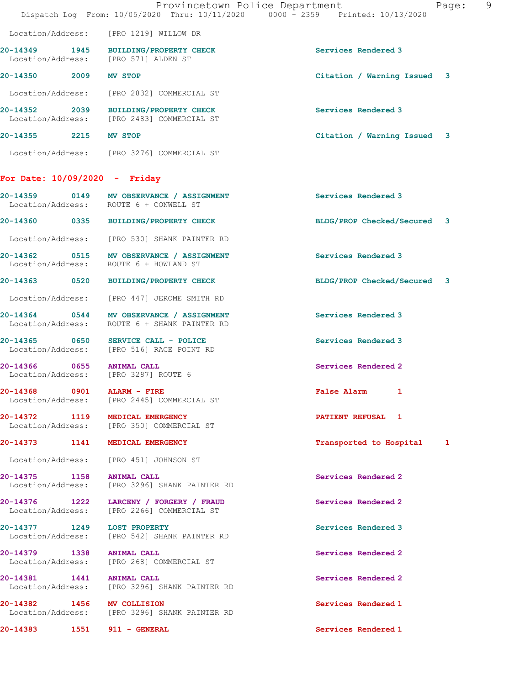|                       |                                                                                       | Provincetown Police Department<br>Dispatch Log From: 10/05/2020 Thru: 10/11/2020 0000 - 2359 Printed: 10/13/2020 | - 9<br>Page: |
|-----------------------|---------------------------------------------------------------------------------------|------------------------------------------------------------------------------------------------------------------|--------------|
|                       | Location/Address: [PRO 1219] WILLOW DR                                                |                                                                                                                  |              |
|                       | 20-14349 1945 BUILDING/PROPERTY CHECK<br>Location/Address: [PRO 571] ALDEN ST         | Services Rendered 3                                                                                              |              |
| 20-14350 2009 MV STOP |                                                                                       | Citation / Warning Issued 3                                                                                      |              |
|                       | Location/Address: [PRO 2832] COMMERCIAL ST                                            |                                                                                                                  |              |
|                       | 20-14352 2039 BUILDING/PROPERTY CHECK<br>Location/Address: [PRO 2483] COMMERCIAL ST   | Services Rendered 3                                                                                              |              |
| 20-14355 2215 MV STOP |                                                                                       | Citation / Warning Issued 3                                                                                      |              |
|                       | Location/Address: [PRO 3276] COMMERCIAL ST                                            |                                                                                                                  |              |
|                       | For Date: $10/09/2020 -$ Friday                                                       |                                                                                                                  |              |
|                       | 20-14359 0149 MV OBSERVANCE / ASSIGNMENT<br>Location/Address: ROUTE 6 + CONWELL ST    | Services Rendered 3                                                                                              |              |
|                       | 20-14360 0335 BUILDING/PROPERTY CHECK                                                 | BLDG/PROP Checked/Secured 3                                                                                      |              |
|                       | Location/Address: [PRO 530] SHANK PAINTER RD                                          |                                                                                                                  |              |
|                       | 20-14362 0515 MV OBSERVANCE / ASSIGNMENT<br>Location/Address: ROUTE 6 + HOWLAND ST    | Services Rendered 3                                                                                              |              |
|                       | 20-14363 0520 BUILDING/PROPERTY CHECK                                                 | BLDG/PROP Checked/Secured 3                                                                                      |              |
|                       | Location/Address: [PRO 447] JEROME SMITH RD                                           |                                                                                                                  |              |
| Location/Address:     | 20-14364 0544 MV OBSERVANCE / ASSIGNMENT<br>ROUTE 6 + SHANK PAINTER RD                | Services Rendered 3                                                                                              |              |
|                       | 20-14365 0650 SERVICE CALL - POLICE<br>Location/Address: [PRO 516] RACE POINT RD      | Services Rendered 3                                                                                              |              |
|                       | 20-14366 0655 ANIMAL CALL<br>Location/Address: [PRO 3287] ROUTE 6                     | Services Rendered 2                                                                                              |              |
|                       | 20-14368 0901 ALARM - FIRE<br>Location/Address: [PRO 2445] COMMERCIAL ST              | False Alarm 1                                                                                                    |              |
|                       | 20-14372 1119 MEDICAL EMERGENCY<br>Location/Address: [PRO 350] COMMERCIAL ST          | PATIENT REFUSAL 1                                                                                                |              |
|                       | 20-14373 1141 MEDICAL EMERGENCY                                                       | Transported to Hospital 1                                                                                        |              |
|                       | Location/Address: [PRO 451] JOHNSON ST                                                |                                                                                                                  |              |
|                       | 20-14375 1158 ANIMAL CALL<br>Location/Address: [PRO 3296] SHANK PAINTER RD            | Services Rendered 2                                                                                              |              |
|                       | 20-14376 1222 LARCENY / FORGERY / FRAUD<br>Location/Address: [PRO 2266] COMMERCIAL ST | Services Rendered 2                                                                                              |              |
|                       | 20-14377 1249 LOST PROPERTY<br>Location/Address: [PRO 542] SHANK PAINTER RD           | Services Rendered 3                                                                                              |              |
|                       | 20-14379 1338 ANIMAL CALL<br>Location/Address: [PRO 268] COMMERCIAL ST                | Services Rendered 2                                                                                              |              |
|                       | 20-14381 1441 ANIMAL CALL<br>Location/Address: [PRO 3296] SHANK PAINTER RD            | Services Rendered 2                                                                                              |              |
|                       | 20-14382 1456 MV COLLISION<br>Location/Address: [PRO 3296] SHANK PAINTER RD           | Services Rendered 1                                                                                              |              |
|                       |                                                                                       | Services Rendered 1                                                                                              |              |
|                       |                                                                                       |                                                                                                                  |              |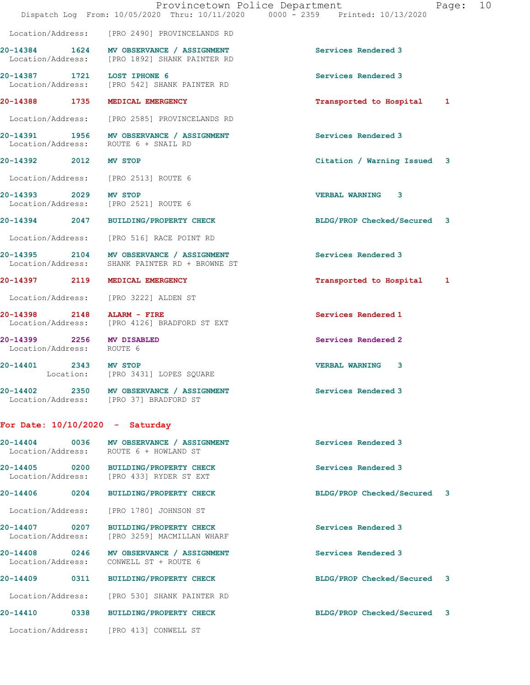|                                                        | Provincetown Police Department<br>Dispatch Log From: 10/05/2020 Thru: 10/11/2020 0000 - 2359 Printed: 10/13/2020 | Page:                       | 10 |
|--------------------------------------------------------|------------------------------------------------------------------------------------------------------------------|-----------------------------|----|
|                                                        | Location/Address: [PRO 2490] PROVINCELANDS RD                                                                    |                             |    |
|                                                        | 20-14384 1624 MV OBSERVANCE / ASSIGNMENT<br>Location/Address: [PRO 1892] SHANK PAINTER RD                        | Services Rendered 3         |    |
| 20-14387 1721 LOST IPHONE 6<br>Location/Address:       | [PRO 542] SHANK PAINTER RD                                                                                       | Services Rendered 3         |    |
|                                                        | 20-14388 1735 MEDICAL EMERGENCY                                                                                  | Transported to Hospital 1   |    |
|                                                        | Location/Address: [PRO 2585] PROVINCELANDS RD                                                                    |                             |    |
|                                                        | 20-14391 1956 MV OBSERVANCE / ASSIGNMENT<br>Location/Address: ROUTE 6 + SNAIL RD                                 | Services Rendered 3         |    |
| 20-14392 2012 MV STOP                                  |                                                                                                                  | Citation / Warning Issued 3 |    |
| Location/Address:                                      | [PRO 2513] ROUTE 6                                                                                               |                             |    |
| 20-14393 2029 MV STOP                                  | Location/Address: [PRO 2521] ROUTE 6                                                                             | <b>VERBAL WARNING 3</b>     |    |
|                                                        | 20-14394 2047 BUILDING/PROPERTY CHECK                                                                            | BLDG/PROP Checked/Secured 3 |    |
| Location/Address:                                      | [PRO 516] RACE POINT RD                                                                                          |                             |    |
|                                                        | 20-14395 2104 MV OBSERVANCE / ASSIGNMENT<br>Location/Address: SHANK PAINTER RD + BROWNE ST                       | Services Rendered 3         |    |
| 20-14397 2119                                          | MEDICAL EMERGENCY                                                                                                | Transported to Hospital 1   |    |
| Location/Address:                                      | [PRO 3222] ALDEN ST                                                                                              |                             |    |
| 20-14398 2148<br>Location/Address:                     | ALARM - FIRE<br>[PRO 4126] BRADFORD ST EXT                                                                       | Services Rendered 1         |    |
| 20-14399 2256 MV DISABLED<br>Location/Address: ROUTE 6 |                                                                                                                  | Services Rendered 2         |    |
| 20-14401 2343 MV STOP                                  | Location: [PRO 3431] LOPES SQUARE                                                                                | <b>VERBAL WARNING</b><br>3  |    |
|                                                        | 20-14402 2350 MV OBSERVANCE / ASSIGNMENT<br>Location/Address: [PRO 37] BRADFORD ST                               | Services Rendered 3         |    |
| For Date: $10/10/2020 -$ Saturday                      |                                                                                                                  |                             |    |
|                                                        | 20-14404 0036 MV OBSERVANCE / ASSIGNMENT<br>Location/Address: ROUTE 6 + HOWLAND ST                               | Services Rendered 3         |    |
|                                                        | 20-14405 0200 BUILDING/PROPERTY CHECK<br>Location/Address: [PRO 433] RYDER ST EXT                                | Services Rendered 3         |    |
| 20-14406 0204                                          | <b>BUILDING/PROPERTY CHECK</b>                                                                                   | BLDG/PROP Checked/Secured 3 |    |
| Location/Address:                                      | [PRO 1780] JOHNSON ST                                                                                            |                             |    |
| 20-14407 0207<br>Location/Address:                     | BUILDING/PROPERTY CHECK<br>[PRO 3259] MACMILLAN WHARF                                                            | Services Rendered 3         |    |
| 20-14408 0246<br>Location/Address:                     | MV OBSERVANCE / ASSIGNMENT<br>CONWELL ST + ROUTE 6                                                               | Services Rendered 3         |    |
|                                                        | 20-14409 0311 BUILDING/PROPERTY CHECK                                                                            | BLDG/PROP Checked/Secured 3 |    |
| Location/Address:                                      | [PRO 530] SHANK PAINTER RD                                                                                       |                             |    |
| 20-14410 0338                                          | BUILDING/PROPERTY CHECK                                                                                          | BLDG/PROP Checked/Secured 3 |    |
|                                                        | Location/Address: [PRO 413] CONWELL ST                                                                           |                             |    |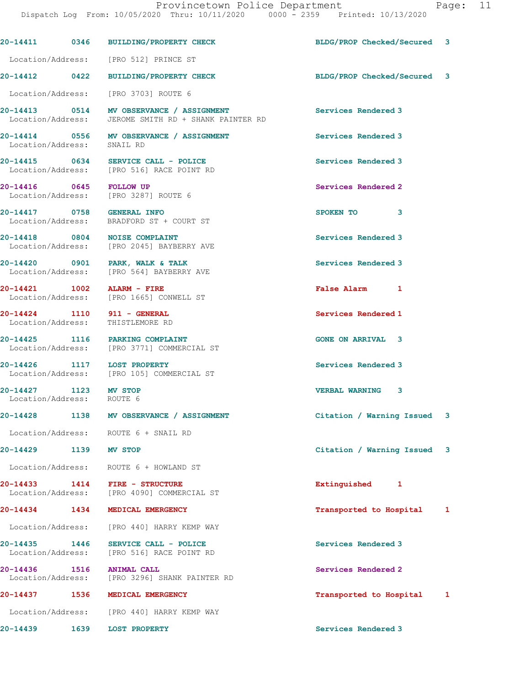|                               | Provincetown Police Department<br>Dispatch Log From: 10/05/2020 Thru: 10/11/2020 0000 - 2359 Printed: 10/13/2020 |                             | Page: 11 |  |
|-------------------------------|------------------------------------------------------------------------------------------------------------------|-----------------------------|----------|--|
|                               | 20-14411 0346 BUILDING/PROPERTY CHECK                                                                            | BLDG/PROP Checked/Secured 3 |          |  |
|                               | Location/Address: [PRO 512] PRINCE ST                                                                            |                             |          |  |
|                               | 20-14412 0422 BUILDING/PROPERTY CHECK                                                                            | BLDG/PROP Checked/Secured 3 |          |  |
|                               | Location/Address: [PRO 3703] ROUTE 6                                                                             |                             |          |  |
|                               | 20-14413 0514 MV OBSERVANCE / ASSIGNMENT<br>Location/Address: JEROME SMITH RD + SHANK PAINTER RD                 | Services Rendered 3         |          |  |
| Location/Address: SNAIL RD    | 20-14414 0556 MV OBSERVANCE / ASSIGNMENT                                                                         | Services Rendered 3         |          |  |
|                               | 20-14415 0634 SERVICE CALL - POLICE<br>Location/Address: [PRO 516] RACE POINT RD                                 | Services Rendered 3         |          |  |
|                               | 20-14416 0645 FOLLOW UP<br>Location/Address: [PRO 3287] ROUTE 6                                                  | Services Rendered 2         |          |  |
|                               | 20-14417 0758 GENERAL INFO<br>Location/Address: BRADFORD ST + COURT ST                                           | SPOKEN TO<br>3              |          |  |
|                               | 20-14418 0804 NOISE COMPLAINT<br>Location/Address: [PRO 2045] BAYBERRY AVE                                       | Services Rendered 3         |          |  |
|                               | 20-14420 0901 PARK, WALK & TALK<br>Location/Address: [PRO 564] BAYBERRY AVE                                      | Services Rendered 3         |          |  |
|                               | 20-14421 1002 ALARM - FIRE<br>Location/Address: [PRO 1665] CONWELL ST                                            | False Alarm 1               |          |  |
|                               | 20-14424 1110 911 - GENERAL<br>Location/Address: THISTLEMORE RD                                                  | Services Rendered 1         |          |  |
|                               | 20-14425 1116 PARKING COMPLAINT<br>Location/Address: [PRO 3771] COMMERCIAL ST                                    | <b>GONE ON ARRIVAL 3</b>    |          |  |
|                               | 20-14426 1117 LOST PROPERTY<br>Location/Address: [PRO 105] COMMERCIAL ST                                         | Services Rendered 3         |          |  |
| 20-14427<br>Location/Address: | 1123 MV STOP<br>ROUTE 6                                                                                          | <b>VERBAL WARNING 3</b>     |          |  |
|                               | 20-14428 1138 MV OBSERVANCE / ASSIGNMENT                                                                         | Citation / Warning Issued 3 |          |  |
|                               | Location/Address: ROUTE 6 + SNAIL RD                                                                             |                             |          |  |
| 20-14429 1139 MV STOP         |                                                                                                                  | Citation / Warning Issued 3 |          |  |
|                               | Location/Address: ROUTE 6 + HOWLAND ST                                                                           |                             |          |  |
|                               | 20-14433 1414 FIRE - STRUCTURE<br>Location/Address: [PRO 4090] COMMERCIAL ST                                     | Extinguished 1              |          |  |
|                               | 20-14434 1434 MEDICAL EMERGENCY                                                                                  | Transported to Hospital 1   |          |  |
|                               | Location/Address: [PRO 440] HARRY KEMP WAY                                                                       |                             |          |  |
| 20-14435 1446                 | SERVICE CALL - POLICE<br>Location/Address: [PRO 516] RACE POINT RD                                               | Services Rendered 3         |          |  |
| 20-14436 1516                 | <b>ANIMAL CALL</b><br>Location/Address: [PRO 3296] SHANK PAINTER RD                                              | Services Rendered 2         |          |  |
|                               | 20-14437 1536 MEDICAL EMERGENCY                                                                                  | Transported to Hospital 1   |          |  |
|                               | Location/Address: [PRO 440] HARRY KEMP WAY                                                                       |                             |          |  |
|                               | 20-14439    1639    LOST PROPERTY                                                                                | Services Rendered 3         |          |  |
|                               |                                                                                                                  |                             |          |  |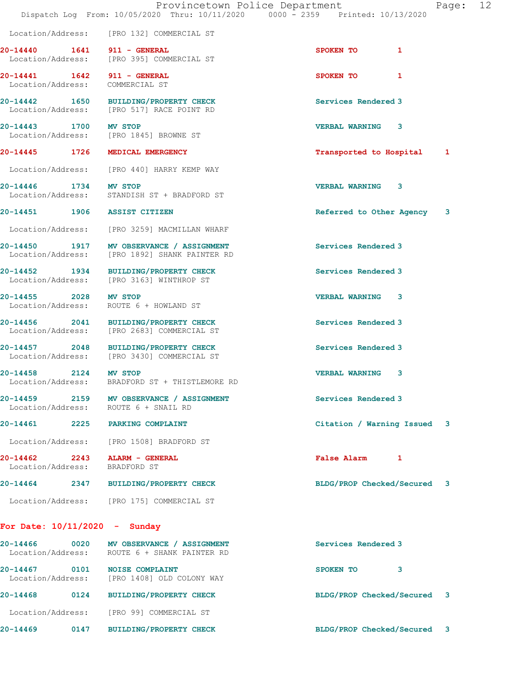|                                    |      | Provincetown Police Department<br>Dispatch Log From: 10/05/2020 Thru: 10/11/2020 0000 - 2359 Printed: 10/13/2020 |                             | Page: | 12 |
|------------------------------------|------|------------------------------------------------------------------------------------------------------------------|-----------------------------|-------|----|
|                                    |      | Location/Address: [PRO 132] COMMERCIAL ST                                                                        |                             |       |    |
| 20-14440 1641                      |      | 911 - GENERAL<br>Location/Address: [PRO 395] COMMERCIAL ST                                                       | SPOKEN TO<br>$\mathbf{1}$   |       |    |
|                                    |      | 20-14441   1642   911 - GENERAL<br>Location/Address: COMMERCIAL ST                                               | <b>SPOKEN TO</b><br>1       |       |    |
|                                    |      | 20-14442 1650 BUILDING/PROPERTY CHECK<br>Location/Address: [PRO 517] RACE POINT RD                               | Services Rendered 3         |       |    |
| 20-14443 1700 MV STOP              |      | Location/Address: [PRO 1845] BROWNE ST                                                                           | <b>VERBAL WARNING</b><br>3  |       |    |
| 20-14445 1726                      |      | MEDICAL EMERGENCY                                                                                                | Transported to Hospital 1   |       |    |
|                                    |      | Location/Address: [PRO 440] HARRY KEMP WAY                                                                       |                             |       |    |
| 20-14446 1734 MV STOP              |      | Location/Address: STANDISH ST + BRADFORD ST                                                                      | <b>VERBAL WARNING 3</b>     |       |    |
|                                    |      | 20-14451 1906 ASSIST CITIZEN                                                                                     | Referred to Other Agency    | 3     |    |
|                                    |      | Location/Address: [PRO 3259] MACMILLAN WHARF                                                                     |                             |       |    |
| Location/Address:                  |      | 20-14450 1917 MV OBSERVANCE / ASSIGNMENT<br>[PRO 1892] SHANK PAINTER RD                                          | Services Rendered 3         |       |    |
|                                    |      | 20-14452 1934 BUILDING/PROPERTY CHECK<br>Location/Address: [PRO 3163] WINTHROP ST                                | Services Rendered 3         |       |    |
| 20-14455 2028 MV STOP              |      | Location/Address: ROUTE 6 + HOWLAND ST                                                                           | <b>VERBAL WARNING 3</b>     |       |    |
|                                    |      | 20-14456 2041 BUILDING/PROPERTY CHECK<br>Location/Address: [PRO 2683] COMMERCIAL ST                              | Services Rendered 3         |       |    |
|                                    |      | 20-14457 2048 BUILDING/PROPERTY CHECK<br>Location/Address: [PRO 3430] COMMERCIAL ST                              | Services Rendered 3         |       |    |
| 20-14458 2124                      |      | <b>MV STOP</b><br>Location/Address: BRADFORD ST + THISTLEMORE RD                                                 | <b>VERBAL WARNING</b><br>3  |       |    |
|                                    |      | 20-14459 2159 MV OBSERVANCE / ASSIGNMENT<br>Location/Address: ROUTE 6 + SNAIL RD                                 | Services Rendered 3         |       |    |
|                                    |      | 20-14461 2225 PARKING COMPLAINT                                                                                  | Citation / Warning Issued 3 |       |    |
|                                    |      | Location/Address: [PRO 1508] BRADFORD ST                                                                         |                             |       |    |
| Location/Address:                  |      | 20-14462 2243 ALARM - GENERAL<br>BRADFORD ST                                                                     | False Alarm 1               |       |    |
| 20-14464                           | 2347 | <b>BUILDING/PROPERTY CHECK</b>                                                                                   | BLDG/PROP Checked/Secured 3 |       |    |
|                                    |      | Location/Address: [PRO 175] COMMERCIAL ST                                                                        |                             |       |    |
| For Date: $10/11/2020 -$ Sunday    |      |                                                                                                                  |                             |       |    |
| 20-14466 0020<br>Location/Address: |      | MV OBSERVANCE / ASSIGNMENT<br>ROUTE 6 + SHANK PAINTER RD                                                         | Services Rendered 3         |       |    |
| 20-14467 0101<br>Location/Address: |      | <b>NOISE COMPLAINT</b><br>[PRO 1408] OLD COLONY WAY                                                              | SPOKEN TO<br>3              |       |    |
| 20-14468                           |      | 0124 BUILDING/PROPERTY CHECK                                                                                     | BLDG/PROP Checked/Secured 3 |       |    |
|                                    |      | Location/Address: [PRO 99] COMMERCIAL ST                                                                         |                             |       |    |
| 20-14469                           | 0147 | BUILDING/PROPERTY CHECK                                                                                          | BLDG/PROP Checked/Secured 3 |       |    |
|                                    |      |                                                                                                                  |                             |       |    |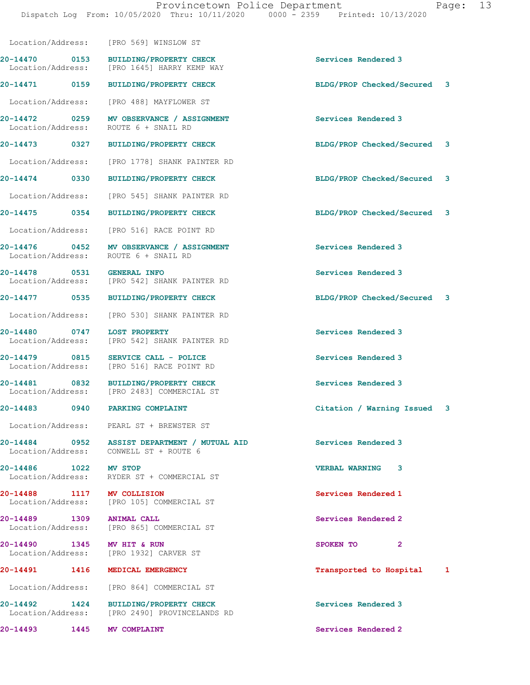|                                    | Location/Address: [PRO 569] WINSLOW ST                                                 |                             |  |
|------------------------------------|----------------------------------------------------------------------------------------|-----------------------------|--|
| 20-14470 0153                      | <b>BUILDING/PROPERTY CHECK</b><br>Location/Address: [PRO 1645] HARRY KEMP WAY          | Services Rendered 3         |  |
|                                    | 20-14471 0159 BUILDING/PROPERTY CHECK                                                  | BLDG/PROP Checked/Secured 3 |  |
|                                    | Location/Address: [PRO 488] MAYFLOWER ST                                               |                             |  |
| Location/Address:                  | 20-14472 0259 MV OBSERVANCE / ASSIGNMENT<br>ROUTE 6 + SNAIL RD                         | <b>Services Rendered 3</b>  |  |
|                                    | 20-14473 0327 BUILDING/PROPERTY CHECK                                                  | BLDG/PROP Checked/Secured 3 |  |
|                                    | Location/Address: [PRO 1778] SHANK PAINTER RD                                          |                             |  |
|                                    | 20-14474 0330 BUILDING/PROPERTY CHECK                                                  | BLDG/PROP Checked/Secured 3 |  |
|                                    | Location/Address: [PRO 545] SHANK PAINTER RD                                           |                             |  |
|                                    | 20-14475 0354 BUILDING/PROPERTY CHECK                                                  | BLDG/PROP Checked/Secured 3 |  |
|                                    | Location/Address: [PRO 516] RACE POINT RD                                              |                             |  |
|                                    | 20-14476 0452 MV OBSERVANCE / ASSIGNMENT<br>Location/Address: ROUTE 6 + SNAIL RD       | Services Rendered 3         |  |
| 20-14478 0531 GENERAL INFO         | Location/Address: [PRO 542] SHANK PAINTER RD                                           | Services Rendered 3         |  |
|                                    | 20-14477 0535 BUILDING/PROPERTY CHECK                                                  | BLDG/PROP Checked/Secured 3 |  |
| Location/Address:                  | [PRO 530] SHANK PAINTER RD                                                             |                             |  |
| 20-14480 0747<br>Location/Address: | <b>LOST PROPERTY</b><br>[PRO 542] SHANK PAINTER RD                                     | Services Rendered 3         |  |
| 20-14479 0815<br>Location/Address: | SERVICE CALL - POLICE<br>[PRO 516] RACE POINT RD                                       | Services Rendered 3         |  |
|                                    | 20-14481 0832 BUILDING/PROPERTY CHECK<br>Location/Address: [PRO 2483] COMMERCIAL ST    | Services Rendered 3         |  |
| 20-14483 0940 PARKING COMPLAINT    |                                                                                        | Citation / Warning Issued 3 |  |
|                                    | Location/Address: PEARL ST + BREWSTER ST                                               |                             |  |
|                                    | 20-14484 0952 ASSIST DEPARTMENT / MUTUAL AID<br>Location/Address: CONWELL ST + ROUTE 6 | Services Rendered 3         |  |
| 20-14486 1022 MV STOP              | Location/Address: RYDER ST + COMMERCIAL ST                                             | <b>VERBAL WARNING 3</b>     |  |
| 20-14488 1117 MV COLLISION         | Location/Address: [PRO 105] COMMERCIAL ST                                              | Services Rendered 1         |  |
| 20-14489 1309 ANIMAL CALL          | Location/Address: [PRO 865] COMMERCIAL ST                                              | Services Rendered 2         |  |
| 20-14490 1345 MV HIT & RUN         | Location/Address: [PRO 1932] CARVER ST                                                 | SPOKEN TO 2                 |  |
| 20-14491 1416 MEDICAL EMERGENCY    |                                                                                        | Transported to Hospital 1   |  |
|                                    | Location/Address: [PRO 864] COMMERCIAL ST                                              |                             |  |
|                                    | 20-14492 1424 BUILDING/PROPERTY CHECK<br>Location/Address: [PRO 2490] PROVINCELANDS RD | Services Rendered 3         |  |
| 20-14493 1445 MV COMPLAINT         |                                                                                        | Services Rendered 2         |  |